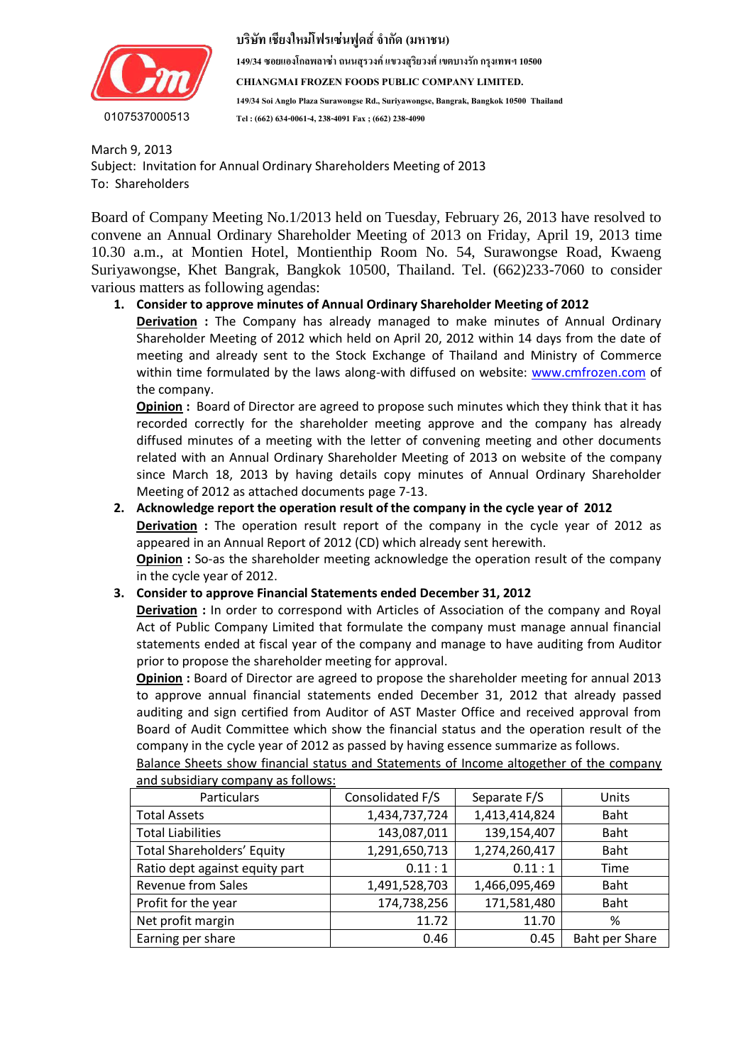

**149/34 ซอยแองโกลพลำซ่ำ ถนนสุรวงค์ แขวงสุริยวงศ์ เขตบำงรัก กรุงเทพฯ 10500 CHIANGMAI FROZEN FOODS PUBLIC COMPANY LIMITED. 149/34 Soi Anglo Plaza Surawongse Rd., Suriyawongse, Bangrak, Bangkok 10500 Thailand Tel : (662) 634-0061-4, 238-4091 Fax ; (662) 238-4090**

 $\frac{1}{2}$  (with the optimal  $\frac{1}{2}$  model  $\frac{1}{2}$  and  $\frac{1}{2}$   $\frac{1}{2}$  and  $\frac{1}{2}$   $\frac{1}{2}$  and  $\frac{1}{2}$  and  $\frac{1}{2}$  and  $\frac{1}{2}$  and  $\frac{1}{2}$  and  $\frac{1}{2}$  and  $\frac{1}{2}$  and  $\frac{1}{2}$  and  $\frac{1}{2}$  and  $\frac$  $\ldots$  is the statistical matrix  $\ldots$  is  $\alpha$ March 9, 2013 Subject: Invitation for Annual Ordinary Shareholders Meeting of 2013 To: Shareholders

เพื่อเปลี่ยนแปลงกำรจัดรูปแบบของกล่องข้อควำมของค ำอ้ำงอิงที่ดึงมำ Board of Company Meeting No.1/2013 held on Tuesday, February 26, 2013 have resolved to convene an Annual Ordinary Shareholder Meeting of 2013 on Friday, April 19, 2013 time 10.30 a.m., at Montien Hotel, Montienthip Room No. 54, Surawongse Road, Kwaeng Suriyawongse, Khet Bangrak, Bangkok 10500, Thailand. Tel. (662)233-7060 to consider various matters as following agendas:

# **1. Consider to approve minutes of Annual Ordinary Shareholder Meeting of 2012**

**Derivation :** The Company has already managed to make minutes of Annual Ordinary Shareholder Meeting of 2012 which held on April 20, 2012 within 14 days from the date of meeting and already sent to the Stock Exchange of Thailand and Ministry of Commerce within time formulated by the laws along-with diffused on website: [www.cmfrozen.com](http://www.cmfrozen.com/) of the company.

**Opinion :** Board of Director are agreed to propose such minutes which they think that it has recorded correctly for the shareholder meeting approve and the company has already diffused minutes of a meeting with the letter of convening meeting and other documents related with an Annual Ordinary Shareholder Meeting of 2013 on website of the company since March 18, 2013 by having details copy minutes of Annual Ordinary Shareholder Meeting of 2012 as attached documents page 7-13.

# **2. Acknowledge report the operation result of the company in the cycle year of 2012**

**Derivation :** The operation result report of the company in the cycle year of 2012 as appeared in an Annual Report of 2012 (CD) which already sent herewith.

**Opinion :** So-as the shareholder meeting acknowledge the operation result of the company in the cycle year of 2012.

# **3. Consider to approve Financial Statements ended December 31, 2012**

**Derivation** : In order to correspond with Articles of Association of the company and Royal Act of Public Company Limited that formulate the company must manage annual financial statements ended at fiscal year of the company and manage to have auditing from Auditor prior to propose the shareholder meeting for approval.

**Opinion :** Board of Director are agreed to propose the shareholder meeting for annual 2013 to approve annual financial statements ended December 31, 2012 that already passed auditing and sign certified from Auditor of AST Master Office and received approval from Board of Audit Committee which show the financial status and the operation result of the company in the cycle year of 2012 as passed by having essence summarize as follows.

| and subsidiary company as follows. |                  |               |                |
|------------------------------------|------------------|---------------|----------------|
| Particulars                        | Consolidated F/S | Separate F/S  | Units          |
| <b>Total Assets</b>                | 1,434,737,724    | 1,413,414,824 | Baht           |
| <b>Total Liabilities</b>           | 143,087,011      | 139,154,407   | Baht           |
| <b>Total Shareholders' Equity</b>  | 1,291,650,713    | 1,274,260,417 | Baht           |
| Ratio dept against equity part     | 0.11:1           | 0.11:1        | Time           |
| <b>Revenue from Sales</b>          | 1,491,528,703    | 1,466,095,469 | Baht           |
| Profit for the year                | 174,738,256      | 171,581,480   | Baht           |
| Net profit margin                  | 11.72            | 11.70         | %              |
| Earning per share                  | 0.46             | 0.45          | Baht per Share |

Balance Sheets show financial status and Statements of Income altogether of the company and subsidiary company as follows: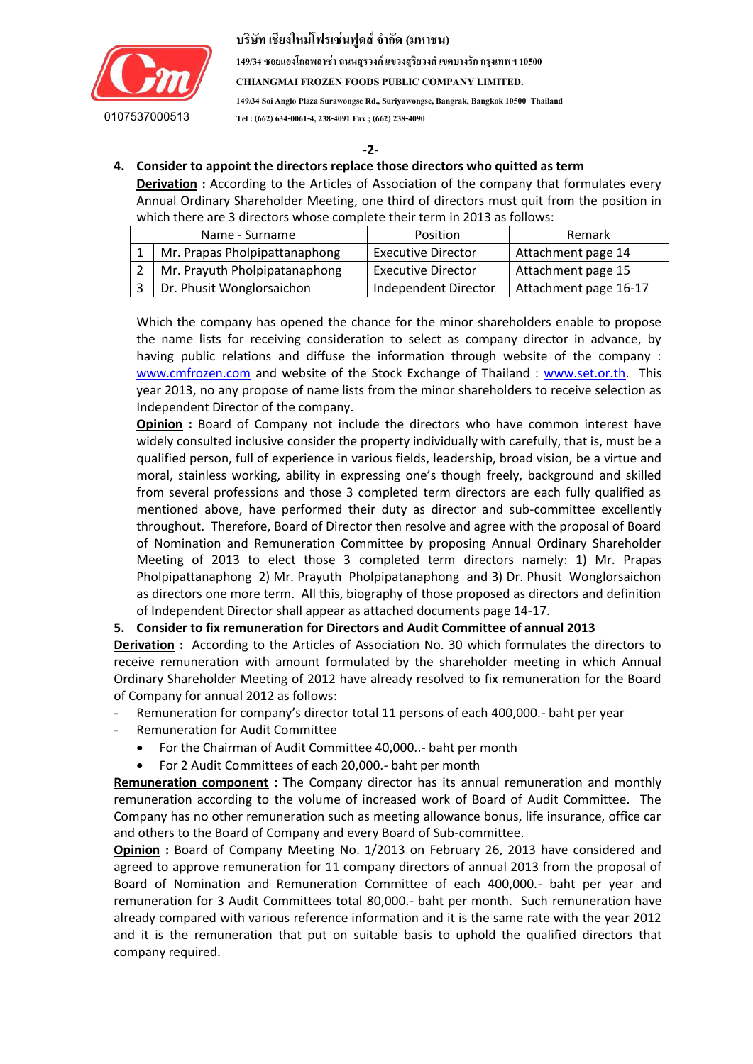

**149/34 ซอยแองโกลพลำซ่ำ ถนนสุรวงค์ แขวงสุริยวงศ์ เขตบำงรัก กรุงเทพฯ 10500**

**CHIANGMAI FROZEN FOODS PUBLIC COMPANY LIMITED.**

**149/34 Soi Anglo Plaza Surawongse Rd., Suriyawongse, Bangrak, Bangkok 10500 Thailand Tel : (662) 634-0061-4, 238-4091 Fax ; (662) 238-4090**

 **-2-**

#### $\sim$   $-2$ - $\sim$   $-2$ - $\sim$   $\sim$   $\sim$   $\sim$   $\sim$   $\sim$   $\sim$   $\sim$   $\sim$   $\sim$   $\sim$   $\sim$   $\sim$   $\sim$   $\sim$   $\sim$   $\sim$   $\sim$   $\sim$   $\sim$   $-$  **4. Consider to appoint the directors replace those directors who quitted as term**

**Derivation :** According to the Articles of Association of the company that formulates every Annual Ordinary Shareholder Meeting, one third of directors must quit from the position in which there are 3 directors whose complete their term in 2013 as follows:

| Name - Surname                | Position                  | Remark                |
|-------------------------------|---------------------------|-----------------------|
| Mr. Prapas Pholpipattanaphong | <b>Executive Director</b> | Attachment page 14    |
| Mr. Prayuth Pholpipatanaphong | <b>Executive Director</b> | Attachment page 15    |
| Dr. Phusit Wonglorsaichon     | Independent Director      | Attachment page 16-17 |

Which the company has opened the chance for the minor shareholders enable to propose the name lists for receiving consideration to select as company director in advance, by having public relations and diffuse the information through website of the company : [www.cmfrozen.com](http://www.cmfrozen.com/) and website of the Stock Exchange of Thailand : [www.set.or.th.](http://www.set.or.th/) This year 2013, no any propose of name lists from the minor shareholders to receive selection as Independent Director of the company.

**Opinion :** Board of Company not include the directors who have common interest have widely consulted inclusive consider the property individually with carefully, that is, must be a qualified person, full of experience in various fields, leadership, broad vision, be a virtue and moral, stainless working, ability in expressing one's though freely, background and skilled from several professions and those 3 completed term directors are each fully qualified as mentioned above, have performed their duty as director and sub-committee excellently throughout. Therefore, Board of Director then resolve and agree with the proposal of Board of Nomination and Remuneration Committee by proposing Annual Ordinary Shareholder Meeting of 2013 to elect those 3 completed term directors namely: 1) Mr. Prapas Pholpipattanaphong 2) Mr. Prayuth Pholpipatanaphong and 3) Dr. Phusit Wonglorsaichon as directors one more term. All this, biography of those proposed as directors and definition of Independent Director shall appear as attached documents page 14-17.

# **5. Consider to fix remuneration for Directors and Audit Committee of annual 2013**

**Derivation :** According to the Articles of Association No. 30 which formulates the directors to receive remuneration with amount formulated by the shareholder meeting in which Annual Ordinary Shareholder Meeting of 2012 have already resolved to fix remuneration for the Board of Company for annual 2012 as follows:

- Remuneration for company's director total 11 persons of each 400,000.- baht per year
- Remuneration for Audit Committee
	- For the Chairman of Audit Committee 40,000..- baht per month
	- For 2 Audit Committees of each 20,000.- baht per month

**Remuneration component :** The Company director has its annual remuneration and monthly remuneration according to the volume of increased work of Board of Audit Committee. The Company has no other remuneration such as meeting allowance bonus, life insurance, office car and others to the Board of Company and every Board of Sub-committee.

**Opinion :** Board of Company Meeting No. 1/2013 on February 26, 2013 have considered and agreed to approve remuneration for 11 company directors of annual 2013 from the proposal of Board of Nomination and Remuneration Committee of each 400,000.- baht per year and remuneration for 3 Audit Committees total 80,000.- baht per month. Such remuneration have already compared with various reference information and it is the same rate with the year 2012 and it is the remuneration that put on suitable basis to uphold the qualified directors that company required.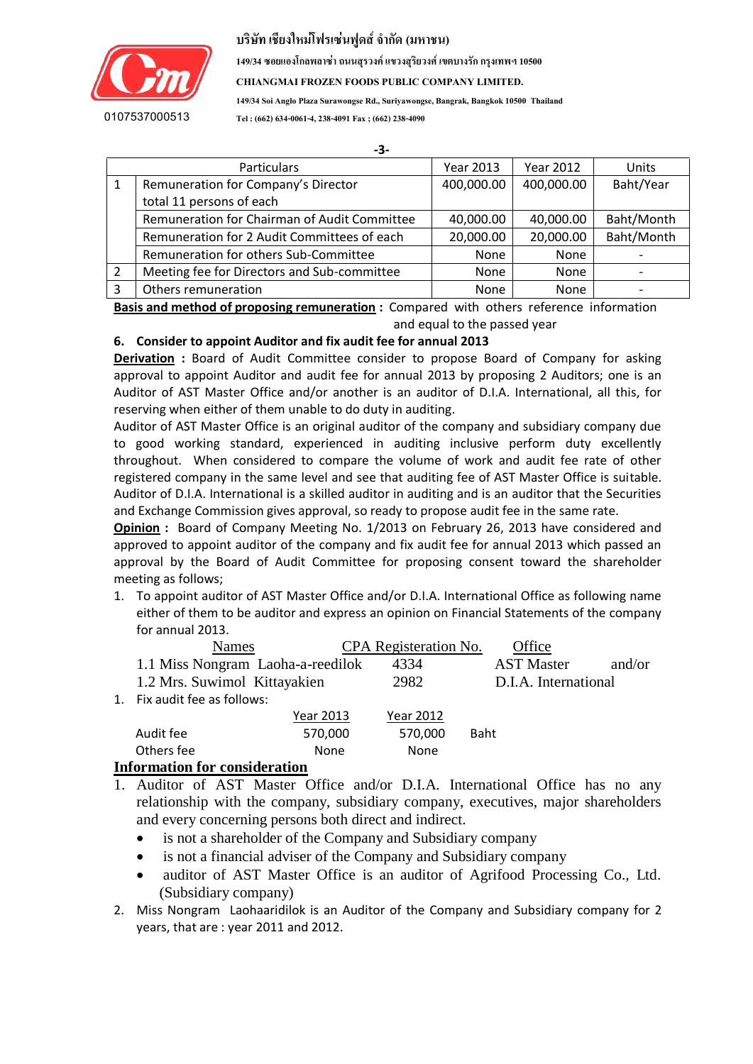

**149/34 ซอยแองโกลพลำซ่ำ ถนนสุรวงค์ แขวงสุริยวงศ์ เขตบำงรัก กรุงเทพฯ 10500**

**CHIANGMAI FROZEN FOODS PUBLIC COMPANY LIMITED.**

**149/34 Soi Anglo Plaza Surawongse Rd., Suriyawongse, Bangrak, Bangkok 10500 Thailand**

**Tel : (662) 634-0061-4, 238-4091 Fax ; (662) 238-4090**

|   | -3-                                          |            |            |            |
|---|----------------------------------------------|------------|------------|------------|
|   | <b>Particulars</b>                           | Year 2013  | Year 2012  | Units      |
|   | Remuneration for Company's Director          | 400,000.00 | 400,000.00 | Baht/Year  |
|   | total 11 persons of each                     |            |            |            |
|   | Remuneration for Chairman of Audit Committee | 40,000.00  | 40,000.00  | Baht/Month |
|   | Remuneration for 2 Audit Committees of each  | 20,000.00  | 20,000.00  | Baht/Month |
|   | Remuneration for others Sub-Committee        | None       | None       |            |
|   | Meeting fee for Directors and Sub-committee  | None       | None       |            |
| っ | Others remuneration                          | None       | None       |            |

**Basis and method of proposing remuneration :** Compared with others reference information and equal to the passed year

# **6. Consider to appoint Auditor and fix audit fee for annual 2013**

**Derivation** : Board of Audit Committee consider to propose Board of Company for asking approval to appoint Auditor and audit fee for annual 2013 by proposing 2 Auditors; one is an Auditor of AST Master Office and/or another is an auditor of D.I.A. International, all this, for reserving when either of them unable to do duty in auditing.

Auditor of AST Master Office is an original auditor of the company and subsidiary company due to good working standard, experienced in auditing inclusive perform duty excellently throughout. When considered to compare the volume of work and audit fee rate of other registered company in the same level and see that auditing fee of AST Master Office is suitable. Auditor of D.I.A. International is a skilled auditor in auditing and is an auditor that the Securities and Exchange Commission gives approval, so ready to propose audit fee in the same rate.

**Opinion :** Board of Company Meeting No. 1/2013 on February 26, 2013 have considered and approved to appoint auditor of the company and fix audit fee for annual 2013 which passed an approval by the Board of Audit Committee for proposing consent toward the shareholder meeting as follows;

1. To appoint auditor of AST Master Office and/or D.I.A. International Office as following name either of them to be auditor and express an opinion on Financial Statements of the company for annual 2013.

| Names                             | CPA Registeration No. | Office               |        |
|-----------------------------------|-----------------------|----------------------|--------|
| 1.1 Miss Nongram Laoha-a-reedilok | 4334                  | <b>AST Master</b>    | and/or |
| 1.2 Mrs. Suwimol Kittayakien      | 2982                  | D.I.A. International |        |
| 1. Fix audit fee as follows:      |                       |                      |        |
| Year 2013                         | <b>Year 2012</b>      |                      |        |
| Audit fee<br>570,000              | 570,000               | <b>Baht</b>          |        |
| Others fee<br>None                | None                  |                      |        |

#### **Information for consideration**

- 1. Auditor of AST Master Office and/or D.I.A. International Office has no any relationship with the company, subsidiary company, executives, major shareholders and every concerning persons both direct and indirect.
	- is not a shareholder of the Company and Subsidiary company
	- is not a financial adviser of the Company and Subsidiary company
	- auditor of AST Master Office is an auditor of Agrifood Processing Co., Ltd. (Subsidiary company)
- 2. Miss Nongram Laohaaridilok is an Auditor of the Company and Subsidiary company for 2 years, that are : year 2011 and 2012.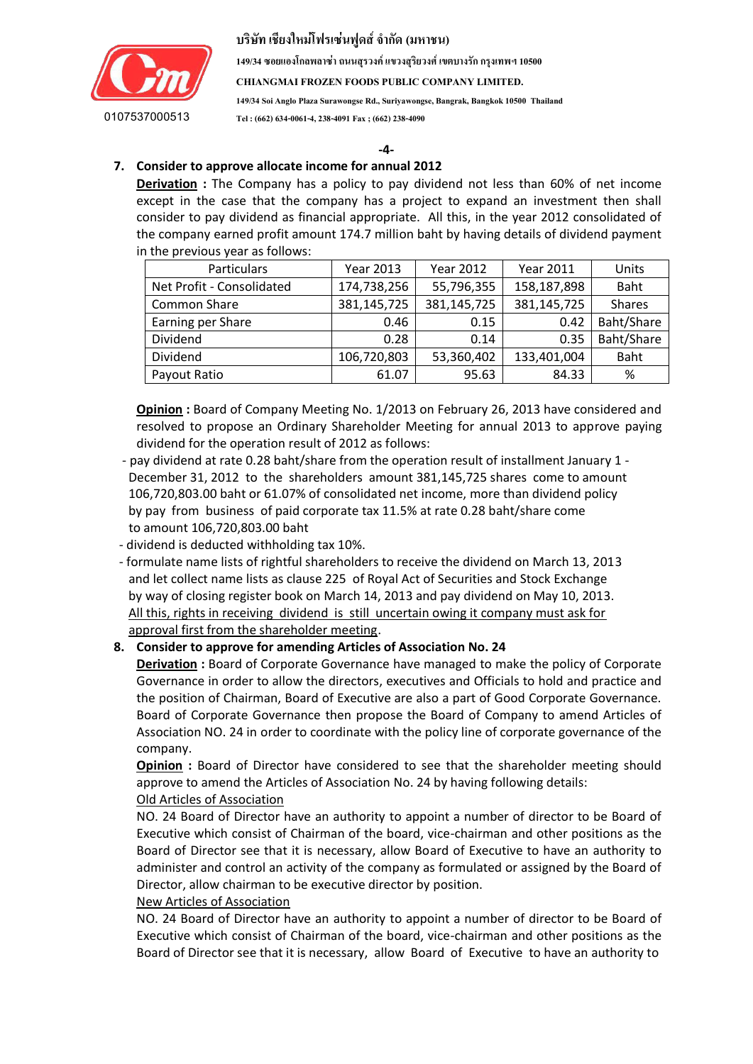

**149/34 ซอยแองโกลพลำซ่ำ ถนนสุรวงค์ แขวงสุริยวงศ์ เขตบำงรัก กรุงเทพฯ 10500**

**CHIANGMAI FROZEN FOODS PUBLIC COMPANY LIMITED.**

**149/34 Soi Anglo Plaza Surawongse Rd., Suriyawongse, Bangrak, Bangkok 10500 Thailand Tel : (662) 634-0061-4, 238-4091 Fax ; (662) 238-4090**

#### $\frac{1}{2}$  " "  $\frac{1}{2}$  "  $\frac{1}{2}$   $\frac{1}{2}$   $\frac{1}{2}$   $\frac{1}{2}$   $\frac{1}{2}$   $\frac{1}{2}$   $\frac{1}{2}$   $\frac{1}{2}$   $\frac{1}{2}$   $\frac{1}{2}$   $\frac{1}{2}$   $\frac{1}{2}$   $\frac{1}{2}$   $\frac{1}{2}$   $\frac{1}{2}$   $\frac{1}{2}$   $\frac{1}{2}$   $\frac{1}{2}$   $\frac{1}{2}$   $\frac{1$  **-4- 7. Consider to approve allocate income for annual 2012**

**Derivation** : The Company has a policy to pay dividend not less than 60% of net income except in the case that the company has a project to expand an investment then shall consider to pay dividend as financial appropriate. All this, in the year 2012 consolidated of the company earned profit amount 174.7 million baht by having details of dividend payment in the previous year as follows:

| Particulars               | Year 2013   | Year 2012   | Year 2011   | Units         |
|---------------------------|-------------|-------------|-------------|---------------|
| Net Profit - Consolidated | 174,738,256 | 55,796,355  | 158,187,898 | Baht          |
| <b>Common Share</b>       | 381,145,725 | 381,145,725 | 381,145,725 | <b>Shares</b> |
| Earning per Share         | 0.46        | 0.15        | 0.42        | Baht/Share    |
| Dividend                  | 0.28        | 0.14        | 0.35        | Baht/Share    |
| Dividend                  | 106,720,803 | 53,360,402  | 133,401,004 | Baht          |
| Payout Ratio              | 61.07       | 95.63       | 84.33       | %             |

**Opinion :** Board of Company Meeting No. 1/2013 on February 26, 2013 have considered and resolved to propose an Ordinary Shareholder Meeting for annual 2013 to approve paying dividend for the operation result of 2012 as follows:

- pay dividend at rate 0.28 baht/share from the operation result of installment January 1 December 31, 2012 to the shareholders amount 381,145,725 shares come to amount 106,720,803.00 baht or 61.07% of consolidated net income, more than dividend policy by pay from business of paid corporate tax 11.5% at rate 0.28 baht/share come to amount 106,720,803.00 baht
- dividend is deducted withholding tax 10%.
- formulate name lists of rightful shareholders to receive the dividend on March 13, 2013 and let collect name lists as clause 225 of Royal Act of Securities and Stock Exchange by way of closing register book on March 14, 2013 and pay dividend on May 10, 2013. All this, rights in receiving dividend is still uncertain owing it company must ask for approval first from the shareholder meeting.

# **8. Consider to approve for amending Articles of Association No. 24**

**Derivation :** Board of Corporate Governance have managed to make the policy of Corporate Governance in order to allow the directors, executives and Officials to hold and practice and the position of Chairman, Board of Executive are also a part of Good Corporate Governance. Board of Corporate Governance then propose the Board of Company to amend Articles of Association NO. 24 in order to coordinate with the policy line of corporate governance of the company.

**Opinion :** Board of Director have considered to see that the shareholder meeting should approve to amend the Articles of Association No. 24 by having following details: Old Articles of Association

NO. 24 Board of Director have an authority to appoint a number of director to be Board of Executive which consist of Chairman of the board, vice-chairman and other positions as the Board of Director see that it is necessary, allow Board of Executive to have an authority to administer and control an activity of the company as formulated or assigned by the Board of Director, allow chairman to be executive director by position.

#### New Articles of Association

NO. 24 Board of Director have an authority to appoint a number of director to be Board of Executive which consist of Chairman of the board, vice-chairman and other positions as the Board of Director see that it is necessary, allow Board of Executive to have an authority to